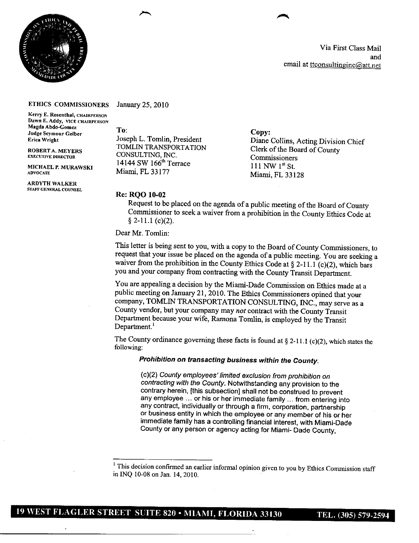

Via First Class Mail and email at ttconsultinginc@att.net

## **ETHICS COMMISSIONERS** January 25, 2010

**Kerry E. Rosenthal, CHAIRPERSON Dawn E. Addy,** VICE CHAIRPERSON *Magda Abdo-Gomez*<br>
Judge Seymour Gelber<br> **Erica Wright Copy: Copy: Copy: Copy: Copy: Diane** 

**EXECUTIVE DIRECTOR** 

**MICHAEL P. MURAWSKI**<br>ADVOCATE

**ARDYTH WALKER STAFF GENERAL COUNSEL**

**TOMLIN TRANSPORTATION** Clerk of the Board of County **ROBERT A. MEYERS** CONSULTING, INC. Commissioners 14144 SW 166<sup>th</sup> Terrace iii 11 NW 1<sup>st</sup> St.<br>Miami, FL 33177 Miami, FL 321

**EXECUTE JOSEPH L. Tomlin, President Diane Collins, Acting Division Chief TOMLIN TRANSPORTATION ADVOCATE** Miami, FL 33177 Miami, FL 33128

## **Re: RQO** 10-02

Request to be placed on the agenda of a public meeting of the Board of County Commissioner to seek a waiver from a prohibition in the County Ethics Code at  $§$  2-11.1 (c)(2).

Dear Mr. Tomlin:

This letter is being sent to you, with a copy to the Board of County Commissioners, to request that your issue be placed on the agenda of a public meeting. You are seeking a waiver from the prohibition in the County Ethics Code at § 2-11.1 (c)(2), which bars you and your company from contracting with the County Transit Department.

You are appealing a decision by the Miami-Dade Commission on Ethics made at a public meeting on January 21, 2010. The Ethics Commissioners opined that your company, TOMLIN TRANSPORTATION CONSULTING, INC., may serve **as a** County vendor, but your company may *not* contract with the County Transit Department because your wife, Ramona Tomlin, is employed by the Transit Department.<sup>1</sup>

The County ordinance governing these facts is found at  $\S$  2-11.1 (c)(2), which states the following:

## Prohibition on transacting business within the County.

(c)(2) County employees' limited exclusion from prohibition on contracting with the County. Notwithstanding any provision to the contrary herein, [this subsection] shall not be construed to prevent any employee ... or his or her immediate family ... from entering into any contract, individually or through a firm, corporation, partnership or business entity in which the employee or any member of his or her immediate family has a controlling financial interest, with Miami-Dade County or any person or agency acting for Miami- Dade County,

This decision confirmed an earlier informal opinion given to you by Ethics Commission staff inINQ l0-O8onJan. 14, 2010.